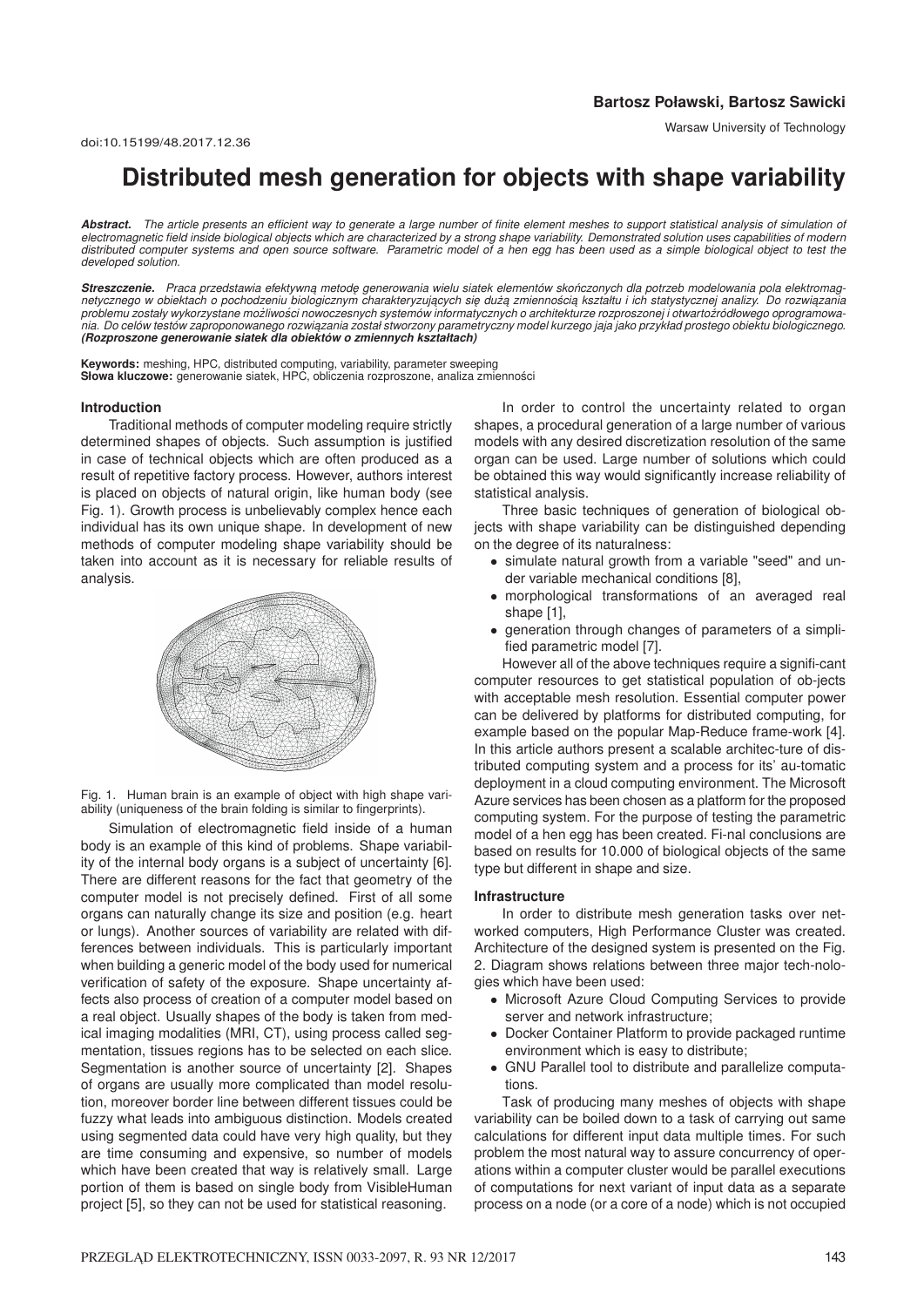# **Distributed mesh generation for objects with shape variability**

*Abstract. The article presents an efficient way to generate a large number of finite element meshes to support statistical analysis of simulation of electromagnetic field inside biological objects which are characterized by a strong shape variability. Demonstrated solution uses capabilities of modern distributed computer systems and open source software. Parametric model of a hen egg has been used as a simple biological object to test the developed solution.*

Streszczenie. Praca przedstawia efektywną metodę generowania wielu siatek elementów skończonych dla potrzeb modelowania pola elektromagnetycznego w obiektach o pochodzeniu biologicznym charakteryzujących się dużą zmiennością kształtu i ich statystycznej analizy. Do rozwiązania *´ ´ problemu zostały wykorzystane mozliwosci nowoczesnych systemów informatycznych o architekturze rozproszonej i otwartozródłowego oprogramowa- ˙ nia. Do celów testów zaproponowanego rozwi ˛azania został stworzony parametryczny model kurzego jaja jako przykład prostego obiektu biologicznego. (Rozproszone generowanie siatek dla obiektów o zmiennych kształtach)*

Słowa kluczowe: generowanie siatek, HPC, obliczenia rozproszone, analiza zmienności **Keywords:** meshing, HPC, distributed computing, variability, parameter sweeping

#### **Introduction**

Traditional methods of computer modeling require strictly determined shapes of objects. Such assumption is justified in case of technical objects which are often produced as a result of repetitive factory process. However, authors interest is placed on objects of natural origin, like human body (see Fig. 1). Growth process is unbelievably complex hence each individual has its own unique shape. In development of new methods of computer modeling shape variability should be taken into account as it is necessary for reliable results of analysis.



Fig. 1. Human brain is an example of object with high shape variability (uniqueness of the brain folding is similar to fingerprints).

Simulation of electromagnetic field inside of a human body is an example of this kind of problems. Shape variability of the internal body organs is a subject of uncertainty [6]. There are different reasons for the fact that geometry of the computer model is not precisely defined. First of all some organs can naturally change its size and position (e.g. heart or lungs). Another sources of variability are related with differences between individuals. This is particularly important when building a generic model of the body used for numerical verification of safety of the exposure. Shape uncertainty affects also process of creation of a computer model based on a real object. Usually shapes of the body is taken from medical imaging modalities (MRI, CT), using process called segmentation, tissues regions has to be selected on each slice. Segmentation is another source of uncertainty [2]. Shapes of organs are usually more complicated than model resolution, moreover border line between different tissues could be fuzzy what leads into ambiguous distinction. Models created using segmented data could have very high quality, but they are time consuming and expensive, so number of models which have been created that way is relatively small. Large portion of them is based on single body from VisibleHuman project [5], so they can not be used for statistical reasoning.

In order to control the uncertainty related to organ shapes, a procedural generation of a large number of various models with any desired discretization resolution of the same organ can be used. Large number of solutions which could be obtained this way would significantly increase reliability of statistical analysis.

Three basic techniques of generation of biological objects with shape variability can be distinguished depending on the degree of its naturalness:

- simulate natural growth from a variable "seed" and under variable mechanical conditions [8],
- morphological transformations of an averaged real shape [1],
- generation through changes of parameters of a simplified parametric model [7].

However all of the above techniques require a signifi-cant computer resources to get statistical population of ob-jects with acceptable mesh resolution. Essential computer power can be delivered by platforms for distributed computing, for example based on the popular Map-Reduce frame-work [4]. In this article authors present a scalable architec-ture of distributed computing system and a process for its' au-tomatic deployment in a cloud computing environment. The Microsoft Azure services has been chosen as a platform for the proposed computing system. For the purpose of testing the parametric model of a hen egg has been created. Fi-nal conclusions are based on results for 10.000 of biological objects of the same type but different in shape and size.

#### **Infrastructure**

In order to distribute mesh generation tasks over networked computers, High Performance Cluster was created. Architecture of the designed system is presented on the Fig. 2. Diagram shows relations between three major tech-nologies which have been used:

- Microsoft Azure Cloud Computing Services to provide server and network infrastructure;
- Docker Container Platform to provide packaged runtime environment which is easy to distribute;
- GNU Parallel tool to distribute and parallelize computations.

Task of producing many meshes of objects with shape variability can be boiled down to a task of carrying out same calculations for different input data multiple times. For such problem the most natural way to assure concurrency of operations within a computer cluster would be parallel executions of computations for next variant of input data as a separate process on a node (or a core of a node) which is not occupied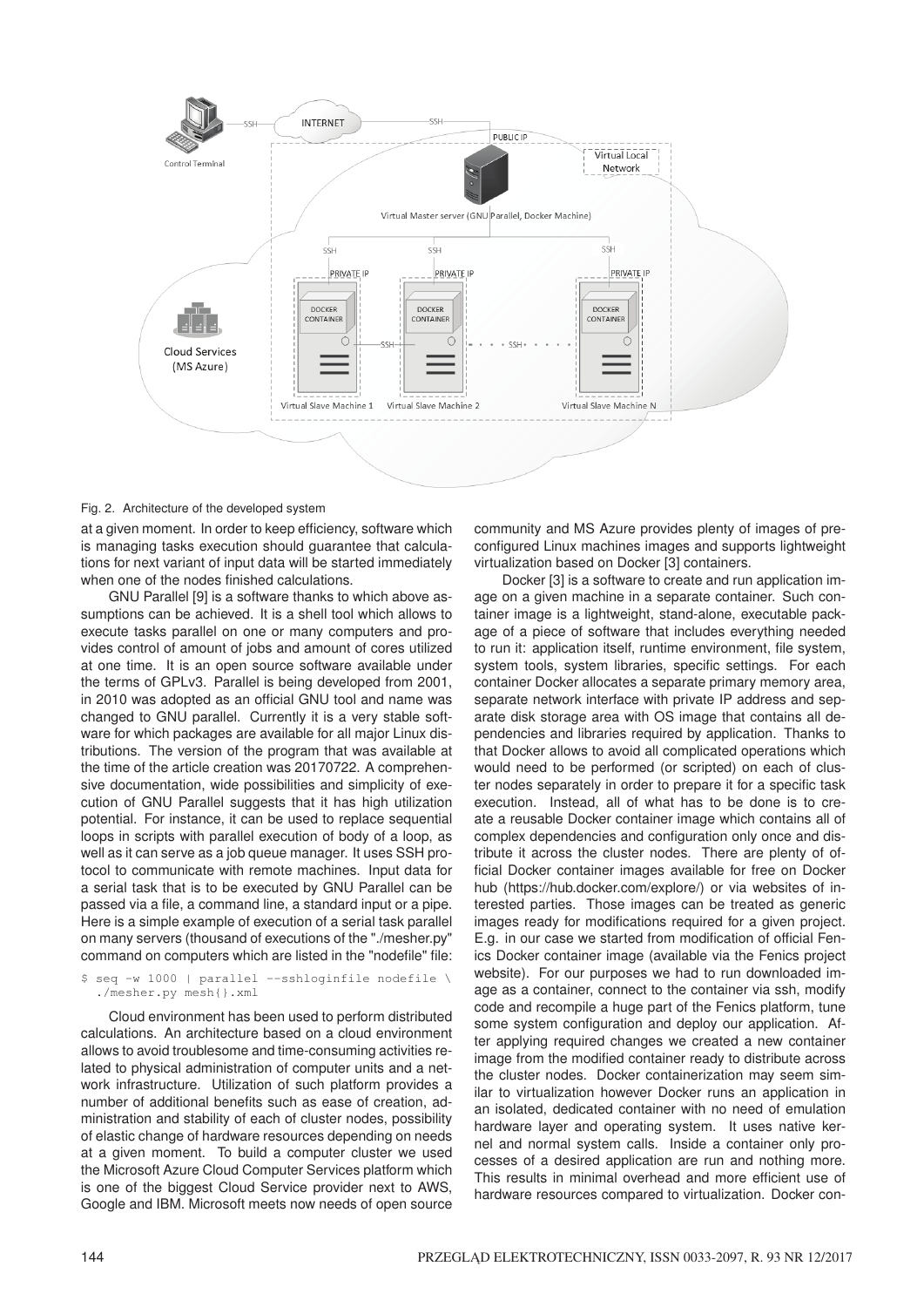

### Fig. 2. Architecture of the developed system

at a given moment. In order to keep efficiency, software which is managing tasks execution should guarantee that calculations for next variant of input data will be started immediately when one of the nodes finished calculations.

GNU Parallel [9] is a software thanks to which above assumptions can be achieved. It is a shell tool which allows to execute tasks parallel on one or many computers and provides control of amount of jobs and amount of cores utilized at one time. It is an open source software available under the terms of GPLv3. Parallel is being developed from 2001, in 2010 was adopted as an official GNU tool and name was changed to GNU parallel. Currently it is a very stable software for which packages are available for all major Linux distributions. The version of the program that was available at the time of the article creation was 20170722. A comprehensive documentation, wide possibilities and simplicity of execution of GNU Parallel suggests that it has high utilization potential. For instance, it can be used to replace sequential loops in scripts with parallel execution of body of a loop, as well as it can serve as a job queue manager. It uses SSH protocol to communicate with remote machines. Input data for a serial task that is to be executed by GNU Parallel can be passed via a file, a command line, a standard input or a pipe. Here is a simple example of execution of a serial task parallel on many servers (thousand of executions of the "./mesher.py" command on computers which are listed in the "nodefile" file:

\$ seq -w 1000 | parallel --sshloginfile nodefile \ ./mesher.py mesh{}.xml

Cloud environment has been used to perform distributed calculations. An architecture based on a cloud environment allows to avoid troublesome and time-consuming activities related to physical administration of computer units and a network infrastructure. Utilization of such platform provides a number of additional benefits such as ease of creation, administration and stability of each of cluster nodes, possibility of elastic change of hardware resources depending on needs at a given moment. To build a computer cluster we used the Microsoft Azure Cloud Computer Services platform which is one of the biggest Cloud Service provider next to AWS, Google and IBM. Microsoft meets now needs of open source

community and MS Azure provides plenty of images of preconfigured Linux machines images and supports lightweight virtualization based on Docker [3] containers.

Docker [3] is a software to create and run application image on a given machine in a separate container. Such container image is a lightweight, stand-alone, executable package of a piece of software that includes everything needed to run it: application itself, runtime environment, file system, system tools, system libraries, specific settings. For each container Docker allocates a separate primary memory area, separate network interface with private IP address and separate disk storage area with OS image that contains all dependencies and libraries required by application. Thanks to that Docker allows to avoid all complicated operations which would need to be performed (or scripted) on each of cluster nodes separately in order to prepare it for a specific task execution. Instead, all of what has to be done is to create a reusable Docker container image which contains all of complex dependencies and configuration only once and distribute it across the cluster nodes. There are plenty of official Docker container images available for free on Docker hub (https://hub.docker.com/explore/) or via websites of interested parties. Those images can be treated as generic images ready for modifications required for a given project. E.g. in our case we started from modification of official Fenics Docker container image (available via the Fenics project website). For our purposes we had to run downloaded image as a container, connect to the container via ssh, modify code and recompile a huge part of the Fenics platform, tune some system configuration and deploy our application. After applying required changes we created a new container image from the modified container ready to distribute across the cluster nodes. Docker containerization may seem similar to virtualization however Docker runs an application in an isolated, dedicated container with no need of emulation hardware layer and operating system. It uses native kernel and normal system calls. Inside a container only processes of a desired application are run and nothing more. This results in minimal overhead and more efficient use of hardware resources compared to virtualization. Docker con-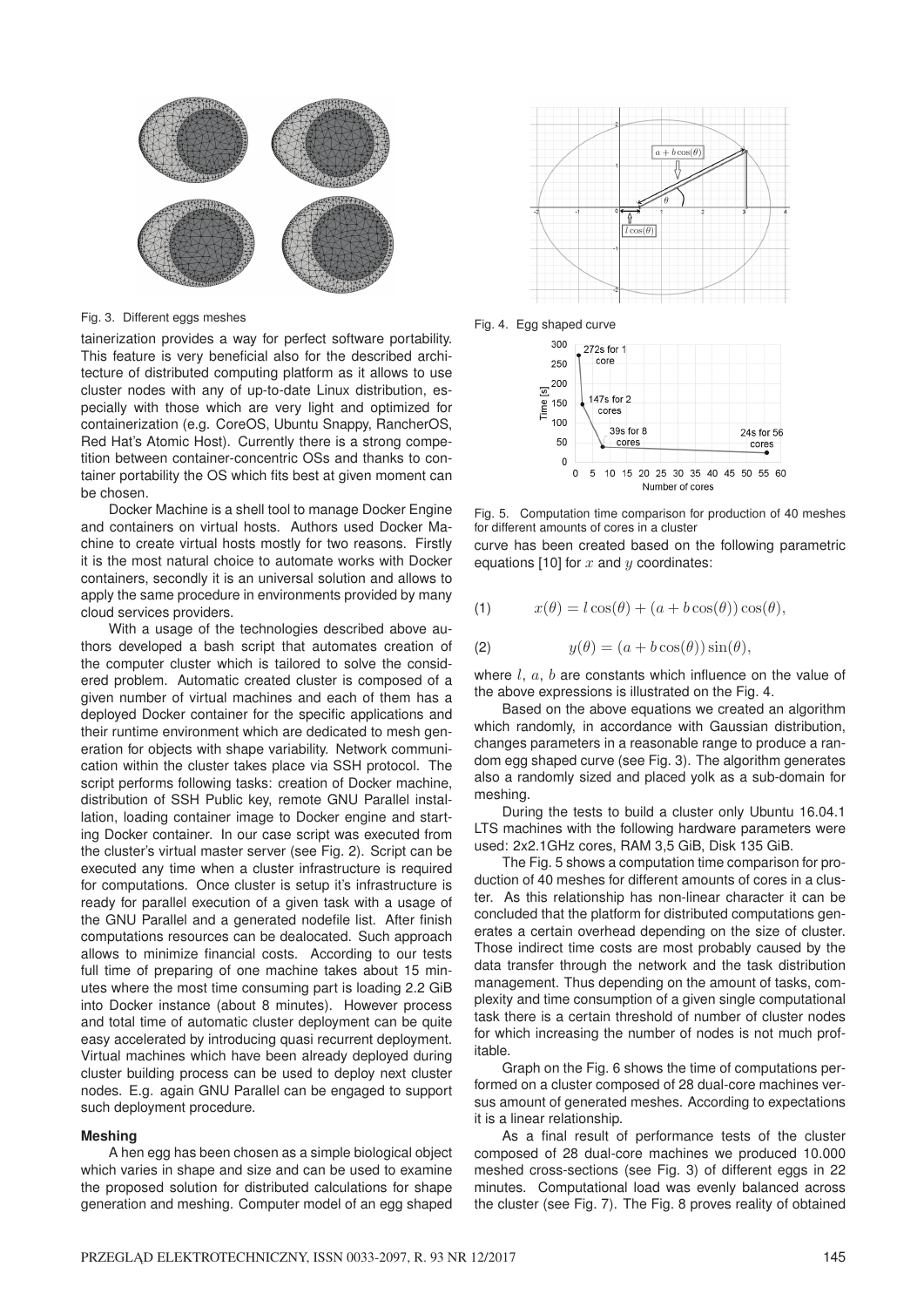

Fig. 3. Different eggs meshes

tainerization provides a way for perfect software portability. This feature is very beneficial also for the described architecture of distributed computing platform as it allows to use cluster nodes with any of up-to-date Linux distribution, especially with those which are very light and optimized for containerization (e.g. CoreOS, Ubuntu Snappy, RancherOS, Red Hat's Atomic Host). Currently there is a strong competition between container-concentric OSs and thanks to container portability the OS which fits best at given moment can be chosen.

Docker Machine is a shell tool to manage Docker Engine and containers on virtual hosts. Authors used Docker Machine to create virtual hosts mostly for two reasons. Firstly it is the most natural choice to automate works with Docker containers, secondly it is an universal solution and allows to apply the same procedure in environments provided by many cloud services providers.

With a usage of the technologies described above authors developed a bash script that automates creation of the computer cluster which is tailored to solve the considered problem. Automatic created cluster is composed of a given number of virtual machines and each of them has a deployed Docker container for the specific applications and their runtime environment which are dedicated to mesh generation for objects with shape variability. Network communication within the cluster takes place via SSH protocol. The script performs following tasks: creation of Docker machine, distribution of SSH Public key, remote GNU Parallel installation, loading container image to Docker engine and starting Docker container. In our case script was executed from the cluster's virtual master server (see Fig. 2). Script can be executed any time when a cluster infrastructure is required for computations. Once cluster is setup it's infrastructure is ready for parallel execution of a given task with a usage of the GNU Parallel and a generated nodefile list. After finish computations resources can be dealocated. Such approach allows to minimize financial costs. According to our tests full time of preparing of one machine takes about 15 minutes where the most time consuming part is loading 2.2 GiB into Docker instance (about 8 minutes). However process and total time of automatic cluster deployment can be quite easy accelerated by introducing quasi recurrent deployment. Virtual machines which have been already deployed during cluster building process can be used to deploy next cluster nodes. E.g. again GNU Parallel can be engaged to support such deployment procedure.

#### **Meshing**

A hen egg has been chosen as a simple biological object which varies in shape and size and can be used to examine the proposed solution for distributed calculations for shape generation and meshing. Computer model of an egg shaped



Fig. 4. Egg shaped curve



Fig. 5. Computation time comparison for production of 40 meshes for different amounts of cores in a cluster

curve has been created based on the following parametric equations [10] for  $x$  and  $y$  coordinates:

(1) 
$$
x(\theta) = l \cos(\theta) + (a + b \cos(\theta)) \cos(\theta),
$$

(2) 
$$
y(\theta) = (a + b \cos(\theta)) \sin(\theta),
$$

where  $l, a, b$  are constants which influence on the value of the above expressions is illustrated on the Fig. 4.

Based on the above equations we created an algorithm which randomly, in accordance with Gaussian distribution, changes parameters in a reasonable range to produce a random egg shaped curve (see Fig. 3). The algorithm generates also a randomly sized and placed yolk as a sub-domain for meshing.

During the tests to build a cluster only Ubuntu 16.04.1 LTS machines with the following hardware parameters were used: 2x2.1GHz cores, RAM 3,5 GiB, Disk 135 GiB.

The Fig. 5 shows a computation time comparison for production of 40 meshes for different amounts of cores in a cluster. As this relationship has non-linear character it can be concluded that the platform for distributed computations generates a certain overhead depending on the size of cluster. Those indirect time costs are most probably caused by the data transfer through the network and the task distribution management. Thus depending on the amount of tasks, complexity and time consumption of a given single computational task there is a certain threshold of number of cluster nodes for which increasing the number of nodes is not much profitable.

Graph on the Fig. 6 shows the time of computations performed on a cluster composed of 28 dual-core machines versus amount of generated meshes. According to expectations it is a linear relationship.

As a final result of performance tests of the cluster composed of 28 dual-core machines we produced 10.000 meshed cross-sections (see Fig. 3) of different eggs in 22 minutes. Computational load was evenly balanced across the cluster (see Fig. 7). The Fig. 8 proves reality of obtained